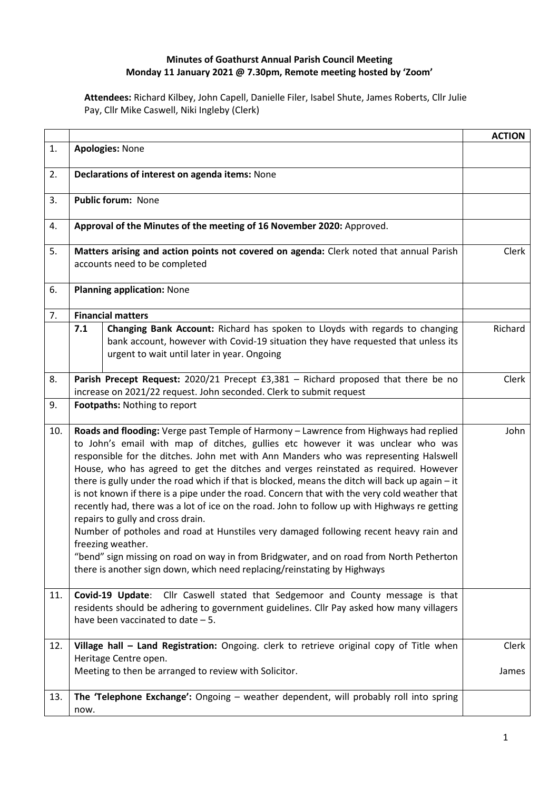## **Minutes of Goathurst Annual Parish Council Meeting Monday 11 January 2021 @ 7.30pm, Remote meeting hosted by 'Zoom'**

**Attendees:** Richard Kilbey, John Capell, Danielle Filer, Isabel Shute, James Roberts, Cllr Julie Pay, Cllr Mike Caswell, Niki Ingleby (Clerk)

|            |                                                                                                                                                                                                                                                                                                                                                                                                                                                                                                                                                                                                                                                                                                                                                                                                                                                                                                                                                                                      |                                                                                                                                                                                                                  | <b>ACTION</b>  |
|------------|--------------------------------------------------------------------------------------------------------------------------------------------------------------------------------------------------------------------------------------------------------------------------------------------------------------------------------------------------------------------------------------------------------------------------------------------------------------------------------------------------------------------------------------------------------------------------------------------------------------------------------------------------------------------------------------------------------------------------------------------------------------------------------------------------------------------------------------------------------------------------------------------------------------------------------------------------------------------------------------|------------------------------------------------------------------------------------------------------------------------------------------------------------------------------------------------------------------|----------------|
| 1.         | <b>Apologies: None</b>                                                                                                                                                                                                                                                                                                                                                                                                                                                                                                                                                                                                                                                                                                                                                                                                                                                                                                                                                               |                                                                                                                                                                                                                  |                |
| 2.         | Declarations of interest on agenda items: None                                                                                                                                                                                                                                                                                                                                                                                                                                                                                                                                                                                                                                                                                                                                                                                                                                                                                                                                       |                                                                                                                                                                                                                  |                |
| 3.         | Public forum: None                                                                                                                                                                                                                                                                                                                                                                                                                                                                                                                                                                                                                                                                                                                                                                                                                                                                                                                                                                   |                                                                                                                                                                                                                  |                |
| 4.         | Approval of the Minutes of the meeting of 16 November 2020: Approved.                                                                                                                                                                                                                                                                                                                                                                                                                                                                                                                                                                                                                                                                                                                                                                                                                                                                                                                |                                                                                                                                                                                                                  |                |
| 5.         | Matters arising and action points not covered on agenda: Clerk noted that annual Parish<br>accounts need to be completed                                                                                                                                                                                                                                                                                                                                                                                                                                                                                                                                                                                                                                                                                                                                                                                                                                                             |                                                                                                                                                                                                                  |                |
| 6.         | <b>Planning application: None</b>                                                                                                                                                                                                                                                                                                                                                                                                                                                                                                                                                                                                                                                                                                                                                                                                                                                                                                                                                    |                                                                                                                                                                                                                  |                |
| 7.         | <b>Financial matters</b>                                                                                                                                                                                                                                                                                                                                                                                                                                                                                                                                                                                                                                                                                                                                                                                                                                                                                                                                                             |                                                                                                                                                                                                                  |                |
|            | 7.1                                                                                                                                                                                                                                                                                                                                                                                                                                                                                                                                                                                                                                                                                                                                                                                                                                                                                                                                                                                  | Changing Bank Account: Richard has spoken to Lloyds with regards to changing<br>bank account, however with Covid-19 situation they have requested that unless its<br>urgent to wait until later in year. Ongoing | Richard        |
| 8.         | Parish Precept Request: 2020/21 Precept £3,381 - Richard proposed that there be no<br>increase on 2021/22 request. John seconded. Clerk to submit request                                                                                                                                                                                                                                                                                                                                                                                                                                                                                                                                                                                                                                                                                                                                                                                                                            |                                                                                                                                                                                                                  | Clerk          |
| 9.         |                                                                                                                                                                                                                                                                                                                                                                                                                                                                                                                                                                                                                                                                                                                                                                                                                                                                                                                                                                                      | Footpaths: Nothing to report                                                                                                                                                                                     |                |
|            |                                                                                                                                                                                                                                                                                                                                                                                                                                                                                                                                                                                                                                                                                                                                                                                                                                                                                                                                                                                      |                                                                                                                                                                                                                  | John           |
| 10.<br>11. | Roads and flooding: Verge past Temple of Harmony - Lawrence from Highways had replied<br>to John's email with map of ditches, gullies etc however it was unclear who was<br>responsible for the ditches. John met with Ann Manders who was representing Halswell<br>House, who has agreed to get the ditches and verges reinstated as required. However<br>there is gully under the road which if that is blocked, means the ditch will back up again - it<br>is not known if there is a pipe under the road. Concern that with the very cold weather that<br>recently had, there was a lot of ice on the road. John to follow up with Highways re getting<br>repairs to gully and cross drain.<br>Number of potholes and road at Hunstiles very damaged following recent heavy rain and<br>freezing weather.<br>"bend" sign missing on road on way in from Bridgwater, and on road from North Petherton<br>there is another sign down, which need replacing/reinstating by Highways |                                                                                                                                                                                                                  |                |
|            | Cllr Caswell stated that Sedgemoor and County message is that<br>Covid-19 Update:<br>residents should be adhering to government guidelines. Cllr Pay asked how many villagers<br>have been vaccinated to date $-5$ .                                                                                                                                                                                                                                                                                                                                                                                                                                                                                                                                                                                                                                                                                                                                                                 |                                                                                                                                                                                                                  |                |
| 12.        |                                                                                                                                                                                                                                                                                                                                                                                                                                                                                                                                                                                                                                                                                                                                                                                                                                                                                                                                                                                      | Village hall - Land Registration: Ongoing. clerk to retrieve original copy of Title when<br>Heritage Centre open.<br>Meeting to then be arranged to review with Solicitor.                                       | Clerk<br>James |
| 13.        | now.                                                                                                                                                                                                                                                                                                                                                                                                                                                                                                                                                                                                                                                                                                                                                                                                                                                                                                                                                                                 | The 'Telephone Exchange': Ongoing - weather dependent, will probably roll into spring                                                                                                                            |                |